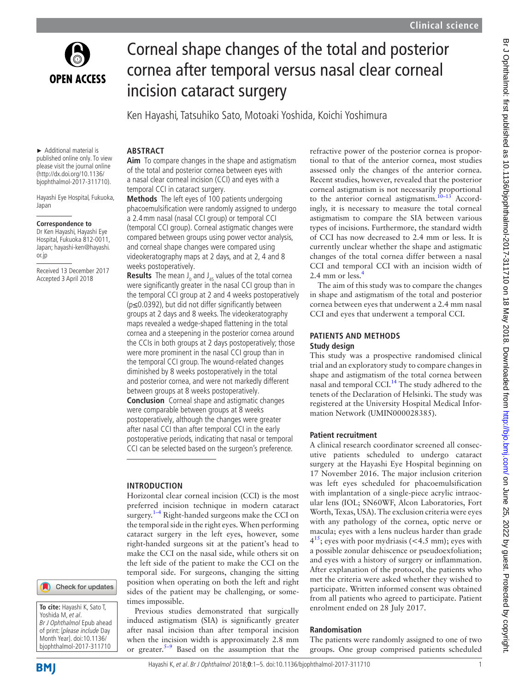

# Corneal shape changes of the total and posterior cornea after temporal versus nasal clear corneal incision cataract surgery

Ken Hayashi, Tatsuhiko Sato, Motoaki Yoshida, Koichi Yoshimura

► Additional material is published online only. To view please visit the journal online (http://dx.doi.org/10.1136/ bjophthalmol-2017-311710).

Hayashi Eye Hospital, Fukuoka, Japan

#### **Correspondence to**

Dr Ken Hayashi, Hayashi Eye Hospital, Fukuoka 812-0011, Japan; hayashi-ken@hayashi. or.jp

Received 13 December 2017 Accepted 3 April 2018

## **ARSTRACT**

**Aim** To compare changes in the shape and astigmatism of the total and posterior cornea between eyes with a nasal clear corneal incision (CCI) and eyes with a temporal CCI in cataract surgery.

**Methods** The left eyes of 100 patients undergoing phacoemulsification were randomly assigned to undergo a 2.4mm nasal (nasal CCI group) or temporal CCI (temporal CCI group). Corneal astigmatic changes were compared between groups using power vector analysis, and corneal shape changes were compared using videokeratography maps at 2 days, and at 2, 4 and 8 weeks postoperatively.

**Results** The mean J<sub>0</sub> and J<sub>45</sub> values of the total cornea were significantly greater in the nasal CCI group than in the temporal CCI group at 2 and 4 weeks postoperatively (p≤0.0392), but did not differ significantly between groups at 2 days and 8 weeks. The videokeratography maps revealed a wedge-shaped flattening in the total cornea and a steepening in the posterior cornea around the CCIs in both groups at 2 days postoperatively; those were more prominent in the nasal CCI group than in the temporal CCI group. The wound-related changes diminished by 8 weeks postoperatively in the total and posterior cornea, and were not markedly different between groups at 8 weeks postoperatively. **Conclusion** Corneal shape and astigmatic changes

were comparable between groups at 8 weeks postoperatively, although the changes were greater after nasal CCI than after temporal CCI in the early postoperative periods, indicating that nasal or temporal CCI can be selected based on the surgeon's preference.

#### **Introduction**

Horizontal clear corneal incision (CCI) is the most preferred incision technique in modern cataract surgery. $1-4$  Right-handed surgeons make the CCI on the temporal side in the right eyes. When performing cataract surgery in the left eyes, however, some right-handed surgeons sit at the patient's head to make the CCI on the nasal side, while others sit on the left side of the patient to make the CCI on the temporal side. For surgeons, changing the sitting position when operating on both the left and right sides of the patient may be challenging, or sometimes impossible.

Previous studies demonstrated that surgically induced astigmatism (SIA) is significantly greater after nasal incision than after temporal incision when the incision width is approximately 2.8 mm or greater. $5-9$  Based on the assumption that the

refractive power of the posterior cornea is proportional to that of the anterior cornea, most studies assessed only the changes of the anterior cornea. Recent studies, however, revealed that the posterior corneal astigmatism is not necessarily proportional to the anterior corneal astigmatism.<sup>[10–13](#page-4-2)</sup> Accordingly, it is necessary to measure the total corneal astigmatism to compare the SIA between various types of incisions. Furthermore, the standard width of CCI has now decreased to 2.4 mm or less. It is currently unclear whether the shape and astigmatic changes of the total cornea differ between a nasal CCI and temporal CCI with an incision width of 2.[4](#page-4-3) mm or less.<sup>4</sup>

The aim of this study was to compare the changes in shape and astigmatism of the total and posterior cornea between eyes that underwent a 2.4 mm nasal CCI and eyes that underwent a temporal CCI.

# **PATIENTS AND METHODS Study design**

This study was a prospective randomised clinical trial and an exploratory study to compare changes in shape and astigmatism of the total cornea between nasal and temporal CCI.<sup>14</sup> The study adhered to the tenets of the Declaration of Helsinki. The study was registered at the University Hospital Medical Information Network (UMIN000028385).

### **Patient recruitment**

A clinical research coordinator screened all consecutive patients scheduled to undergo cataract surgery at the Hayashi Eye Hospital beginning on 17 November 2016. The major inclusion criterion was left eyes scheduled for phacoemulsification with implantation of a single-piece acrylic intraocular lens (IOL; SN60WF, Alcon Laboratories, Fort Worth, Texas, USA). The exclusion criteria were eyes with any pathology of the cornea, optic nerve or macula; eyes with a lens nucleus harder than grade  $4^{15}$  $4^{15}$  $4^{15}$ ; eyes with poor mydriasis (<4.5 mm); eyes with a possible zonular dehiscence or pseudoexfoliation; and eyes with a history of surgery or inflammation. After explanation of the protocol, the patients who met the criteria were asked whether they wished to participate. Written informed consent was obtained from all patients who agreed to participate. Patient enrolment ended on 28 July 2017.

#### **Randomisation**

The patients were randomly assigned to one of two groups. One group comprised patients scheduled

Check for updates

**To cite:** Hayashi K, Sato T, Yoshida M, et al. Br J Ophthalmol Epub ahead of print: [please include Day Month Year]. doi:10.1136/ bjophthalmol-2017-311710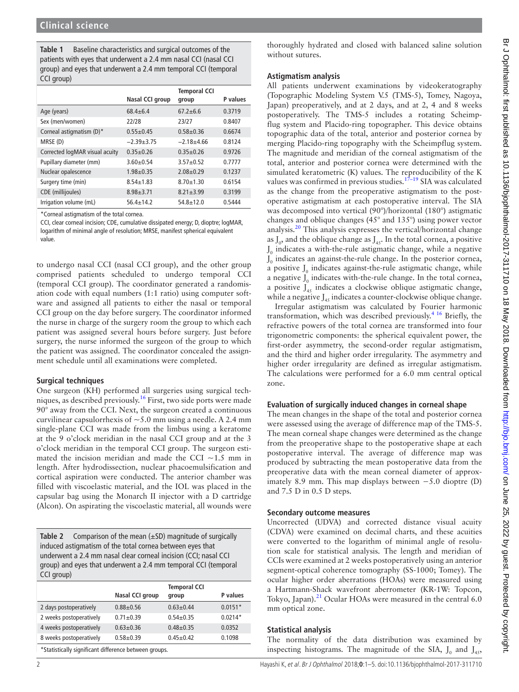<span id="page-1-0"></span>**Table 1** Baseline characteristics and surgical outcomes of the patients with eyes that underwent a 2.4 mm nasal CCI (nasal CCI group) and eyes that underwent a 2.4 mm temporal CCI (temporal CCI group)

|                                |                 | <b>Temporal CCI</b> |          |
|--------------------------------|-----------------|---------------------|----------|
|                                | Nasal CCI group | group               | P values |
| Age (years)                    | $68.4 + 6.4$    | $67.2 \pm 6.6$      | 0.3719   |
| Sex (men/women)                | 22/28           | 23/27               | 0.8407   |
| Corneal astigmatism (D)*       | $0.55 + 0.45$   | $0.58 + 0.36$       | 0.6674   |
| MRSE (D)                       | $-2.39+3.75$    | $-2.18+4.66$        | 0.8124   |
| Corrected logMAR visual acuity | $0.35+0.26$     | $0.35 + 0.26$       | 0.9726   |
| Pupillary diameter (mm)        | $3.60 + 0.54$   | $3.57 + 0.52$       | 0.7777   |
| Nuclear opalescence            | $1.98 + 0.35$   | $2.08 + 0.29$       | 0.1237   |
| Surgery time (min)             | $8.54 + 1.83$   | $8.70 + 1.30$       | 0.6154   |
| CDE (millijoules)              | $8.98 + 3.71$   | $8.21 \pm 3.99$     | 0.3199   |
| Irrigation volume (mL)         | $56.4 \pm 14.2$ | $54.8 + 12.0$       | 0.5444   |

\*Corneal astigmatism of the total cornea.

CCI, clear corneal incision; CDE, cumulative dissipated energy; D, dioptre; logMAR, logarithm of minimal angle of resolution; MRSE, manifest spherical equivalent value.

to undergo nasal CCI (nasal CCI group), and the other group comprised patients scheduled to undergo temporal CCI (temporal CCI group). The coordinator generated a randomisation code with equal numbers (1:1 ratio) using computer software and assigned all patients to either the nasal or temporal CCI group on the day before surgery. The coordinator informed the nurse in charge of the surgery room the group to which each patient was assigned several hours before surgery. Just before surgery, the nurse informed the surgeon of the group to which the patient was assigned. The coordinator concealed the assignment schedule until all examinations were completed.

### **Surgical techniques**

One surgeon (KH) performed all surgeries using surgical techniques, as described previously.[16](#page-4-6) First, two side ports were made 90° away from the CCI. Next, the surgeon created a continuous curvilinear capsulorrhexis of  $\sim$  5.0 mm using a needle. A 2.4 mm single-plane CCI was made from the limbus using a keratome at the 9 o'clock meridian in the nasal CCI group and at the 3 o'clock meridian in the temporal CCI group. The surgeon estimated the incision meridian and made the CCI  $\sim$ 1.5 mm in length. After hydrodissection, nuclear phacoemulsification and cortical aspiration were conducted. The anterior chamber was filled with viscoelastic material, and the IOL was placed in the capsular bag using the Monarch II injector with a D cartridge (Alcon). On aspirating the viscoelastic material, all wounds were

<span id="page-1-1"></span>**Table 2** Comparison of the mean (±SD) magnitude of surgically induced astigmatism of the total cornea between eyes that underwent a 2.4 mm nasal clear corneal incision (CCI; nasal CCI group) and eyes that underwent a 2.4 mm temporal CCI (temporal CCI group)

|                                                       | Nasal CCI group | <b>Temporal CCI</b><br>group | P values  |  |  |
|-------------------------------------------------------|-----------------|------------------------------|-----------|--|--|
| 2 days postoperatively                                | $0.88 + 0.56$   | $0.63 + 0.44$                | $0.0151*$ |  |  |
| 2 weeks postoperatively                               | $0.71 \pm 0.39$ | $0.54 + 0.35$                | $0.0214*$ |  |  |
| 4 weeks postoperatively                               | $0.63 + 0.36$   | $0.48 + 0.35$                | 0.0352    |  |  |
| 8 weeks postoperatively                               | $0.58 + 0.39$   | $0.45 + 0.42$                | 0.1098    |  |  |
| *Statistically significant difference between groups. |                 |                              |           |  |  |

thoroughly hydrated and closed with balanced saline solution without sutures.

#### **Astigmatism analysis**

All patients underwent examinations by videokeratography (Topographic Modeling System V.5 (TMS-5), Tomey, Nagoya, Japan) preoperatively, and at 2 days, and at 2, 4 and 8 weeks postoperatively. The TMS-5 includes a rotating Scheimpflug system and Placido-ring topographer. This device obtains topographic data of the total, anterior and posterior cornea by merging Placido-ring topography with the Scheimpflug system. The magnitude and meridian of the corneal astigmatism of the total, anterior and posterior cornea were determined with the simulated keratometric (K) values. The reproducibility of the K values was confirmed in previous studies.<sup>[17–19](#page-4-7)</sup> SIA was calculated as the change from the preoperative astigmatism to the postoperative astigmatism at each postoperative interval. The SIA was decomposed into vertical (90°)/horizontal (180°) astigmatic changes and oblique changes (45° and 135°) using power vector analysis.[20](#page-4-8) This analysis expresses the vertical/horizontal change as  $J_0$ , and the oblique change as  $J_{45}$ . In the total cornea, a positive  $J_0$  indicates a with-the-rule astigmatic change, while a negative  $J_0$  indicates an against-the-rule change. In the posterior cornea, a positive  $J_0$  indicates against-the-rule astigmatic change, while a negative  $J_0$  indicates with-the-rule change. In the total cornea, a positive  $J_{45}$  indicates a clockwise oblique astigmatic change, while a negative  $J_{45}$  indicates a counter-clockwise oblique change.

Irregular astigmatism was calculated by Fourier harmonic transformation, which was described previously.<sup>4 16</sup> Briefly, the refractive powers of the total cornea are transformed into four trigonometric components: the spherical equivalent power, the first-order asymmetry, the second-order regular astigmatism, and the third and higher order irregularity. The asymmetry and higher order irregularity are defined as irregular astigmatism. The calculations were performed for a 6.0 mm central optical zone.

# **Evaluation of surgically induced changes in corneal shape**

The mean changes in the shape of the total and posterior cornea were assessed using the average of difference map of the TMS-5. The mean corneal shape changes were determined as the change from the preoperative shape to the postoperative shape at each postoperative interval. The average of difference map was produced by subtracting the mean postoperative data from the preoperative data with the mean corneal diameter of approximately 8.9 mm. This map displays between −5.0 dioptre (D) and 7.5 D in 0.5 D steps.

### **Secondary outcome measures**

Uncorrected (UDVA) and corrected distance visual acuity (CDVA) were examined on decimal charts, and these acuities were converted to the logarithm of minimal angle of resolution scale for statistical analysis. The length and meridian of CCIs were examined at 2 weeks postoperatively using an anterior segment-optical coherence tomography (SS-1000; Tomey). The ocular higher order aberrations (HOAs) were measured using a Hartmann-Shack wavefront aberrometer (KR-1W: Topcon, Tokyo, Japan).<sup>21</sup> Ocular HOAs were measured in the central 6.0 mm optical zone.

### **Statistical analysis**

The normality of the data distribution was examined by inspecting histograms. The magnitude of the SIA,  $J_0$  and  $J_{45}$ ,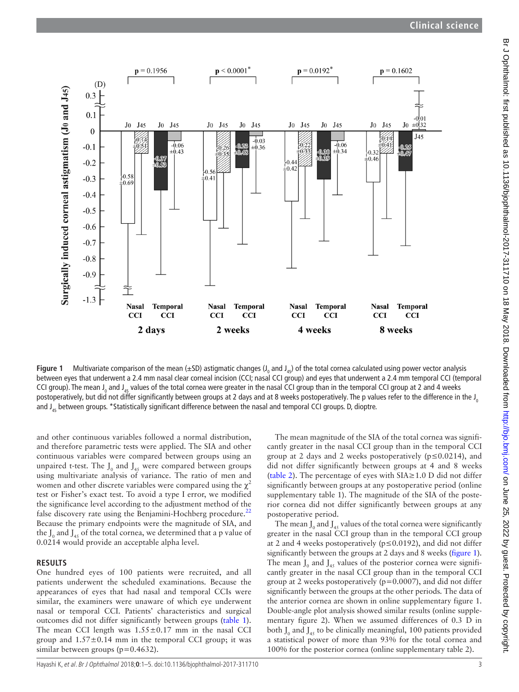

<span id="page-2-0"></span>**Figure 1** Multivariate comparison of the mean (±SD) astigmatic changes (J<sub>0</sub> and J<sub>45</sub>) of the total cornea calculated using power vector analysis between eyes that underwent a 2.4 mm nasal clear corneal incision (CCI; nasal CCI group) and eyes that underwent a 2.4 mm temporal CCI (temporal CCI group). The mean J<sub>0</sub> and J<sub>45</sub> values of the total cornea were greater in the nasal CCI group than in the temporal CCI group at 2 and 4 weeks postoperatively, but did not differ significantly between groups at 2 days and at 8 weeks postoperatively. The p values refer to the difference in the  $J_0$ and J<sub>45</sub> between groups. \*Statistically significant difference between the nasal and temporal CCI groups. D, dioptre.

and other continuous variables followed a normal distribution, and therefore parametric tests were applied. The SIA and other continuous variables were compared between groups using an unpaired t-test. The  $J_0$  and  $J_{45}$  were compared between groups using multivariate analysis of variance. The ratio of men and women and other discrete variables were compared using the  $\chi^2$ test or Fisher's exact test. To avoid a type I error, we modified the significance level according to the adjustment method of the false discovery rate using the Benjamini-Hochberg procedure. $^{22}$  $^{22}$  $^{22}$ Because the primary endpoints were the magnitude of SIA, and the  $J_0$  and  $J_{45}$  of the total cornea, we determined that a p value of 0.0214 would provide an acceptable alpha level.

#### **Results**

One hundred eyes of 100 patients were recruited, and all patients underwent the scheduled examinations. Because the appearances of eyes that had nasal and temporal CCIs were similar, the examiners were unaware of which eye underwent nasal or temporal CCI. Patients' characteristics and surgical outcomes did not differ significantly between groups [\(table](#page-1-0) 1). The mean CCI length was  $1.55 \pm 0.17$  mm in the nasal CCI group and  $1.57 \pm 0.14$  mm in the temporal CCI group; it was similar between groups (p=0.4632).

The mean magnitude of the SIA of the total cornea was significantly greater in the nasal CCI group than in the temporal CCI group at 2 days and 2 weeks postoperatively ( $p \le 0.0214$ ), and did not differ significantly between groups at 4 and 8 weeks ([table](#page-1-1) 2). The percentage of eyes with SIA≥1.0 D did not differ significantly between groups at any postoperative period [\(online](https://dx.doi.org/10.1136/bjophthalmol-2017-311710) [supplementary table 1](https://dx.doi.org/10.1136/bjophthalmol-2017-311710)). The magnitude of the SIA of the posterior cornea did not differ significantly between groups at any postoperative period.

The mean  $J_0$  and  $J_{45}$  values of the total cornea were significantly greater in the nasal CCI group than in the temporal CCI group at 2 and 4 weeks postoperatively ( $p \le 0.0192$ ), and did not differ significantly between the groups at 2 days and 8 weeks [\(figure](#page-2-0) 1). The mean  $J_0$  and  $J_{45}$  values of the posterior cornea were significantly greater in the nasal CCI group than in the temporal CCI group at 2 weeks postoperatively (p=0.0007), and did not differ significantly between the groups at the other periods. The data of the anterior cornea are shown in [online supplementary figure 1.](https://dx.doi.org/10.1136/bjophthalmol-2017-311710) Double-angle plot analysis showed similar results [\(online supple](https://dx.doi.org/10.1136/bjophthalmol-2017-311710)[mentary figure 2](https://dx.doi.org/10.1136/bjophthalmol-2017-311710)). When we assumed differences of 0.3 D in both  $J_0$  and  $J_{45}$  to be clinically meaningful, 100 patients provided a statistical power of more than 93% for the total cornea and 100% for the posterior cornea [\(online supplementary table 2](https://dx.doi.org/10.1136/bjophthalmol-2017-311710)).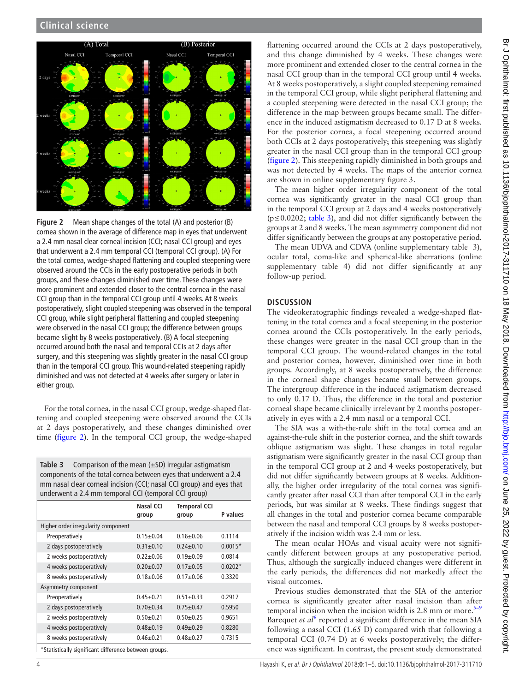

<span id="page-3-0"></span>**Figure 2** Mean shape changes of the total (A) and posterior (B) cornea shown in the average of difference map in eyes that underwent a 2.4 mm nasal clear corneal incision (CCI; nasal CCI group) and eyes that underwent a 2.4 mm temporal CCI (temporal CCI group). (A) For the total cornea, wedge-shaped flattening and coupled steepening were observed around the CCIs in the early postoperative periods in both groups, and these changes diminished over time. These changes were more prominent and extended closer to the central cornea in the nasal CCI group than in the temporal CCI group until 4 weeks. At 8 weeks postoperatively, slight coupled steepening was observed in the temporal CCI group, while slight peripheral flattening and coupled steepening were observed in the nasal CCI group; the difference between groups became slight by 8 weeks postoperatively. (B) A focal steepening occurred around both the nasal and temporal CCIs at 2 days after surgery, and this steepening was slightly greater in the nasal CCI group than in the temporal CCI group. This wound-related steepening rapidly diminished and was not detected at 4 weeks after surgery or later in either group.

For the total cornea, in the nasal CCI group, wedge-shaped flattening and coupled steepening were observed around the CCIs at 2 days postoperatively, and these changes diminished over time [\(figure](#page-3-0) 2). In the temporal CCI group, the wedge-shaped

<span id="page-3-1"></span>**Table 3** Comparison of the mean (±SD) irregular astigmatism components of the total cornea between eyes that underwent a 2.4 mm nasal clear corneal incision (CCI; nasal CCI group) and eyes that underwent a 2.4 mm temporal CCI (temporal CCI group)

|                                                       | Nasal CCI<br>group | <b>Temporal CCI</b><br>group | P values  |
|-------------------------------------------------------|--------------------|------------------------------|-----------|
| Higher order irregularity component                   |                    |                              |           |
| Preoperatively                                        | $0.15 \pm 0.04$    | $0.16 + 0.06$                | 0.1114    |
| 2 days postoperatively                                | $0.31 \pm 0.10$    | $0.24 + 0.10$                | $0.0015*$ |
| 2 weeks postoperatively                               | $0.22 + 0.06$      | $0.19 + 0.09$                | 0.0814    |
| 4 weeks postoperatively                               | $0.20 + 0.07$      | $0.17 + 0.05$                | $0.0202*$ |
| 8 weeks postoperatively                               | $0.18 + 0.06$      | $0.17 + 0.06$                | 0.3320    |
| Asymmetry component                                   |                    |                              |           |
| Preoperatively                                        | $0.45 + 0.21$      | $0.51 \pm 0.33$              | 0.2917    |
| 2 days postoperatively                                | $0.70+0.34$        | $0.75 \pm 0.47$              | 0.5950    |
| 2 weeks postoperatively                               | $0.50 + 0.21$      | $0.50 + 0.25$                | 0.9651    |
| 4 weeks postoperatively                               | $0.48 + 0.19$      | $0.49 + 0.29$                | 0.8280    |
| 8 weeks postoperatively                               | $0.46 + 0.21$      | $0.48 + 0.27$                | 0.7315    |
| *Statistically significant difference between groups. |                    |                              |           |

flattening occurred around the CCIs at 2 days postoperatively, and this change diminished by 4 weeks. These changes were more prominent and extended closer to the central cornea in the nasal CCI group than in the temporal CCI group until 4 weeks. At 8 weeks postoperatively, a slight coupled steepening remained in the temporal CCI group, while slight peripheral flattening and a coupled steepening were detected in the nasal CCI group; the difference in the map between groups became small. The difference in the induced astigmatism decreased to 0.17 D at 8 weeks. For the posterior cornea, a focal steepening occurred around both CCIs at 2 days postoperatively; this steepening was slightly greater in the nasal CCI group than in the temporal CCI group ([figure](#page-3-0) 2). This steepening rapidly diminished in both groups and was not detected by 4 weeks. The maps of the anterior cornea are shown in [online supplementary figure 3.](https://dx.doi.org/10.1136/bjophthalmol-2017-311710)

The mean higher order irregularity component of the total cornea was significantly greater in the nasal CCI group than in the temporal CCI group at 2 days and 4 weeks postoperatively (p≤0.0202; [table](#page-3-1) 3), and did not differ significantly between the groups at 2 and 8 weeks. The mean asymmetry component did not differ significantly between the groups at any postoperative period.

The mean UDVA and CDVA [\(online supplementary table 3\)](https://dx.doi.org/10.1136/bjophthalmol-2017-311710), ocular total, coma-like and spherical-like aberrations [\(online](https://dx.doi.org/10.1136/bjophthalmol-2017-311710) [supplementary table 4](https://dx.doi.org/10.1136/bjophthalmol-2017-311710)) did not differ significantly at any follow-up period.

### **Discussion**

The videokeratographic findings revealed a wedge-shaped flattening in the total cornea and a focal steepening in the posterior cornea around the CCIs postoperatively. In the early periods, these changes were greater in the nasal CCI group than in the temporal CCI group. The wound-related changes in the total and posterior cornea, however, diminished over time in both groups. Accordingly, at 8 weeks postoperatively, the difference in the corneal shape changes became small between groups. The intergroup difference in the induced astigmatism decreased to only 0.17 D. Thus, the difference in the total and posterior corneal shape became clinically irrelevant by 2 months postoperatively in eyes with a 2.4 mm nasal or a temporal CCI.

The SIA was a with-the-rule shift in the total cornea and an against-the-rule shift in the posterior cornea, and the shift towards oblique astigmatism was slight. These changes in total regular astigmatism were significantly greater in the nasal CCI group than in the temporal CCI group at 2 and 4 weeks postoperatively, but did not differ significantly between groups at 8 weeks. Additionally, the higher order irregularity of the total cornea was significantly greater after nasal CCI than after temporal CCI in the early periods, but was similar at 8 weeks. These findings suggest that all changes in the total and posterior cornea became comparable between the nasal and temporal CCI groups by 8 weeks postoperatively if the incision width was 2.4 mm or less.

The mean ocular HOAs and visual acuity were not significantly different between groups at any postoperative period. Thus, although the surgically induced changes were different in the early periods, the differences did not markedly affect the visual outcomes.

Previous studies demonstrated that the SIA of the anterior cornea is significantly greater after nasal incision than after temporal incision when the incision width is 2.8 mm or more. $5-9$ Barequet *et al*<sup>[6](#page-4-11)</sup> reported a significant difference in the mean SIA following a nasal CCI (1.65 D) compared with that following a temporal CCI (0.74 D) at 6 weeks postoperatively; the difference was significant. In contrast, the present study demonstrated